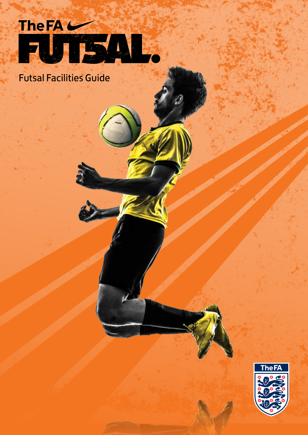

Futsal Facilities Guide

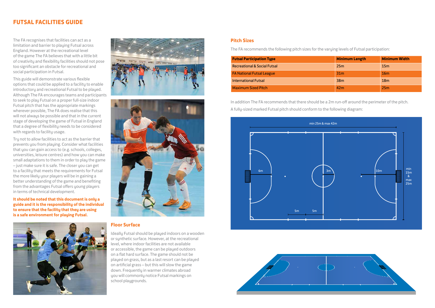### **Pitch Sizes**

The FA recommends the following pitch sizes for the varying levels of Futsal participation:

# **Futsal Facilities Guide**

| <b>Futsal Participation Type</b>        | <b>Minimum Length</b> | <b>Minimum Width</b> |
|-----------------------------------------|-----------------------|----------------------|
| <b>Recreational &amp; Social Futsal</b> | 25m                   | 15 <sub>m</sub>      |
| <b>FA National Futsal League</b>        | 31 <sub>m</sub>       | 16 <sub>m</sub>      |
| <b>International Futsal</b>             | 38 <sub>m</sub>       | 18 <sub>m</sub>      |
| <b>Maximum Sized Pitch</b>              | 42 <sub>m</sub>       | 25m                  |

In addition The FA recommends that there should be a 2m run-off around the perimeter of the pitch. A fully-sized marked Futsal pitch should conform to the following diagram:

The FA recognises that facilities can act as a limitation and barrier to playing Futsal across England. However at the recreational level of the game The FA believes that with a little bit of creativity and flexibility facilities should not pose too significant an obstacle for recreational and social participation in Futsal.

This guide will demonstrate various flexible options that could be applied to a facility to enable introductory and recreational Futsal to be played. Although The FA encourages teams and participants to seek to play Futsal on a proper full-size indoor Futsal pitch that has the appropriate markings wherever possible, The FA does realise that this will not always be possible and that in the current stage of developing the game of Futsal in England that a degree of flexibility needs to be considered with regards to facility usage.

Try not to allow facilities to act as the barrier that prevents you from playing. Consider what facilities that you can gain access to (e.g. schools, colleges, universities, leisure centres) and how you can make small adaptations to them in order to play the game – just make sure it is safe. The closer you can get to a facility that meets the requirements for Futsal the more likely your players will be in gaining a better understanding of the game and benefiting from the advantages Futsal offers young players in terms of technical development.

**It should be noted that this document is only a guide and it is the responsibility of the individual to ensure that the facility that they are using is a safe environment for playing Futsal.**







#### **Floor Surface**

Ideally Futsal should be played indoors on a wooden or synthetic surface. However, at the recreational level, where indoor facilities are not available or accessible, the game can be played outdoors on a flat hard surface. The game should not be played on grass, but as a last resort can be played on artificial grass – but this will slow the game down. Frequently in warmer climates abroad you will commonly notice Futsal markings on school playgrounds.



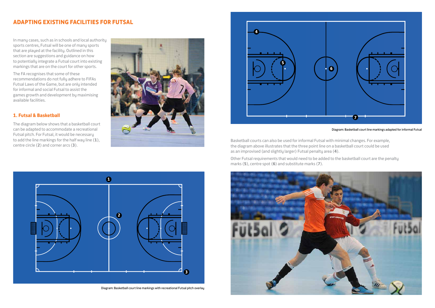

In many cases, such as in schools and local authority sports centres, Futsal will be one of many sports that are played at the facility. Outlined in this section are suggestions and guidance on how to potentially integrate a Futsal court into existing markings that are on the court for other sports.

The FA recognises that some of these recommendations do not fully adhere to FIFAs Futsal Laws of the Game, but are only intended for informal and social Futsal to assist the games growth and development by maximising available facilities.

## **1. Futsal & Basketball**

The diagram below shows that a basketball court can be adapted to accommodate a recreational Futsal pitch. For Futsal, it would be necessary to add the line markings for the half way line (**1**), centre circle (**2**) and corner arcs (**3**).



# **Adapting Existing Facilities for Futsal**

Diagram: Basketball court line markings adapted for informal Futsal

- 
- 

Basketball courts can also be used for informal Futsal with minimal changes. For example, the diagram above illustrates that the three point line on a basketball court could be used as an improvised (and slightly larger) Futsal penalty area (**4**).

Other Futsal requirements that would need to be added to the basketball court are the penalty marks (**5**), centre spot (**6**) and substitute marks (**7**).



Diagram: Basketball court line markings with recreational Futsal pitch overlay